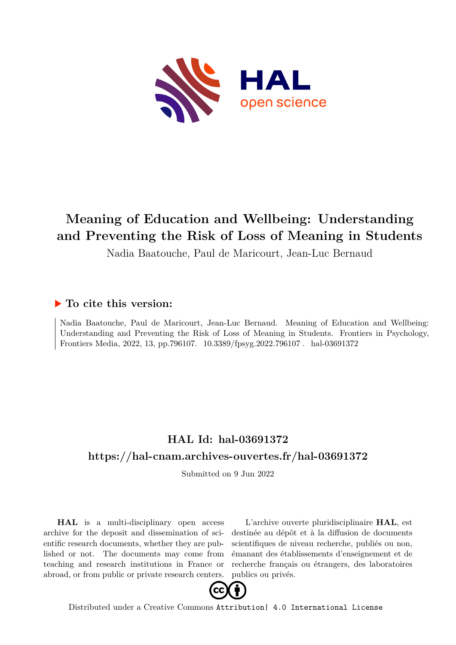

# **Meaning of Education and Wellbeing: Understanding and Preventing the Risk of Loss of Meaning in Students**

Nadia Baatouche, Paul de Maricourt, Jean-Luc Bernaud

## **To cite this version:**

Nadia Baatouche, Paul de Maricourt, Jean-Luc Bernaud. Meaning of Education and Wellbeing: Understanding and Preventing the Risk of Loss of Meaning in Students. Frontiers in Psychology, Frontiers Media, 2022, 13, pp.796107. 10.3389/fpsyg.2022.796107. hal-03691372

## **HAL Id: hal-03691372 <https://hal-cnam.archives-ouvertes.fr/hal-03691372>**

Submitted on 9 Jun 2022

**HAL** is a multi-disciplinary open access archive for the deposit and dissemination of scientific research documents, whether they are published or not. The documents may come from teaching and research institutions in France or abroad, or from public or private research centers.

L'archive ouverte pluridisciplinaire **HAL**, est destinée au dépôt et à la diffusion de documents scientifiques de niveau recherche, publiés ou non, émanant des établissements d'enseignement et de recherche français ou étrangers, des laboratoires publics ou privés.



Distributed under a Creative Commons [Attribution| 4.0 International License](http://creativecommons.org/licenses/by/4.0/)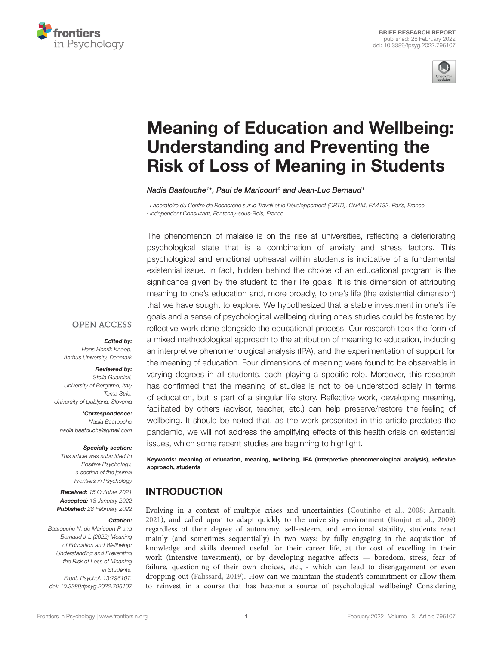



# [Meaning of Education and Wellbeing:](https://www.frontiersin.org/articles/10.3389/fpsyg.2022.796107/full) Understanding and Preventing the Risk of Loss of Meaning in Students

Nadia Baatouche1\*, Paul de Maricourt<sup>2</sup> and Jean-Luc Bernaud1

<sup>1</sup> Laboratoire du Centre de Recherche sur le Travail et le Développement (CRTD), CNAM, EA4132, Paris, France, 2 Independent Consultant, Fontenay-sous-Bois, France

The phenomenon of malaise is on the rise at universities, reflecting a deteriorating psychological state that is a combination of anxiety and stress factors. This psychological and emotional upheaval within students is indicative of a fundamental existential issue. In fact, hidden behind the choice of an educational program is the significance given by the student to their life goals. It is this dimension of attributing meaning to one's education and, more broadly, to one's life (the existential dimension) that we have sought to explore. We hypothesized that a stable investment in one's life goals and a sense of psychological wellbeing during one's studies could be fostered by reflective work done alongside the educational process. Our research took the form of a mixed methodological approach to the attribution of meaning to education, including an interpretive phenomenological analysis (IPA), and the experimentation of support for the meaning of education. Four dimensions of meaning were found to be observable in varying degrees in all students, each playing a specific role. Moreover, this research has confirmed that the meaning of studies is not to be understood solely in terms of education, but is part of a singular life story. Reflective work, developing meaning, facilitated by others (advisor, teacher, etc.) can help preserve/restore the feeling of wellbeing. It should be noted that, as the work presented in this article predates the pandemic, we will not address the amplifying effects of this health crisis on existential issues, which some recent studies are beginning to highlight.

Keywords: meaning of education, meaning, wellbeing, IPA (interpretive phenomenological analysis), reflexive approach, students

## INTRODUCTION

Evolving in a context of multiple crises and uncertainties (Coutinho et al., 2008; Arnault, 2021), and called upon to adapt quickly to the university environment (Boujut et al., 2009) regardless of their degree of autonomy, self-esteem, and emotional stability, students react mainly (and sometimes sequentially) in two ways: by fully engaging in the acquisition of knowledge and skills deemed useful for their career life, at the cost of excelling in their work (intensive investment), or by developing negative affects — boredom, stress, fear of failure, questioning of their own choices, etc., - which can lead to disengagement or even dropping out (Falissard, 2019). How can we maintain the student's commitment or allow them to reinvest in a course that has become a source of psychological wellbeing? Considering

#### **OPEN ACCESS**

Edited by:

Hans Henrik Knoop, Aarhus University, Denmark

#### Reviewed by:

Stella Guarnieri, University of Bergamo, Italy Toma Strle, University of Ljubljana, Slovenia

\*Correspondence: Nadia Baatouche nadia.baatouche@gmail.com

#### Specialty section:

This article was submitted to Positive Psychology, a section of the journal Frontiers in Psychology

Received: 15 October 2021 Accepted: 18 January 2022 Published: 28 February 2022

#### Citation:

Baatouche N, de Maricourt P and Bernaud J-L (2022) Meaning of Education and Wellbeing: Understanding and Preventing the Risk of Loss of Meaning in Students. Front. Psychol. 13:796107. doi: [10.3389/fpsyg.2022.796107](https://doi.org/10.3389/fpsyg.2022.796107)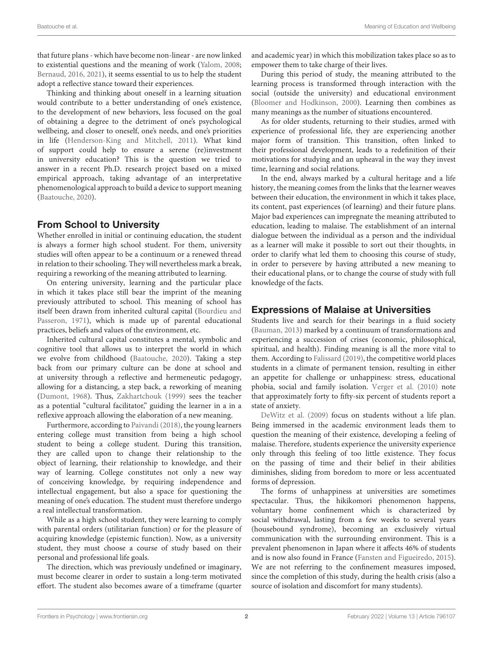that future plans - which have become non-linear - are now linked to existential questions and the meaning of work (Yalom, 2008; Bernaud, 2016, 2021), it seems essential to us to help the student adopt a reflective stance toward their experiences.

Thinking and thinking about oneself in a learning situation would contribute to a better understanding of one's existence, to the development of new behaviors, less focused on the goal of obtaining a degree to the detriment of one's psychological wellbeing, and closer to oneself, one's needs, and one's priorities in life (Henderson-King and Mitchell, 2011). What kind of support could help to ensure a serene (re)investment in university education? This is the question we tried to answer in a recent Ph.D. research project based on a mixed empirical approach, taking advantage of an interpretative phenomenological approach to build a device to support meaning (Baatouche, 2020).

## From School to University

Whether enrolled in initial or continuing education, the student is always a former high school student. For them, university studies will often appear to be a continuum or a renewed thread in relation to their schooling. They will nevertheless mark a break, requiring a reworking of the meaning attributed to learning.

On entering university, learning and the particular place in which it takes place still bear the imprint of the meaning previously attributed to school. This meaning of school has itself been drawn from inherited cultural capital (Bourdieu and Passeron, 1971), which is made up of parental educational practices, beliefs and values of the environment, etc.

Inherited cultural capital constitutes a mental, symbolic and cognitive tool that allows us to interpret the world in which we evolve from childhood (Baatouche, 2020). Taking a step back from our primary culture can be done at school and at university through a reflective and hermeneutic pedagogy, allowing for a distancing, a step back, a reworking of meaning (Dumont, 1968). Thus, Zakhartchouk (1999) sees the teacher as a potential "cultural facilitator," guiding the learner in a in a reflexive approach allowing the elaboration of a new meaning.

Furthermore, according to Paivandi (2018), the young learners entering college must transition from being a high school student to being a college student. During this transition, they are called upon to change their relationship to the object of learning, their relationship to knowledge, and their way of learning. College constitutes not only a new way of conceiving knowledge, by requiring independence and intellectual engagement, but also a space for questioning the meaning of one's education. The student must therefore undergo a real intellectual transformation.

While as a high school student, they were learning to comply with parental orders (utilitarian function) or for the pleasure of acquiring knowledge (epistemic function). Now, as a university student, they must choose a course of study based on their personal and professional life goals.

The direction, which was previously undefined or imaginary, must become clearer in order to sustain a long-term motivated effort. The student also becomes aware of a timeframe (quarter and academic year) in which this mobilization takes place so as to empower them to take charge of their lives.

During this period of study, the meaning attributed to the learning process is transformed through interaction with the social (outside the university) and educational environment (Bloomer and Hodkinson, 2000). Learning then combines as many meanings as the number of situations encountered.

As for older students, returning to their studies, armed with experience of professional life, they are experiencing another major form of transition. This transition, often linked to their professional development, leads to a redefinition of their motivations for studying and an upheaval in the way they invest time, learning and social relations.

In the end, always marked by a cultural heritage and a life history, the meaning comes from the links that the learner weaves between their education, the environment in which it takes place, its content, past experiences (of learning) and their future plans. Major bad experiences can impregnate the meaning attributed to education, leading to malaise. The establishment of an internal dialogue between the individual as a person and the individual as a learner will make it possible to sort out their thoughts, in order to clarify what led them to choosing this course of study, in order to persevere by having attributed a new meaning to their educational plans, or to change the course of study with full knowledge of the facts.

## Expressions of Malaise at Universities

Students live and search for their bearings in a fluid society (Bauman, 2013) marked by a continuum of transformations and experiencing a succession of crises (economic, philosophical, spiritual, and health). Finding meaning is all the more vital to them. According to Falissard (2019), the competitive world places students in a climate of permanent tension, resulting in either an appetite for challenge or unhappiness: stress, educational phobia, social and family isolation. Verger et al. (2010) note that approximately forty to fifty-six percent of students report a state of anxiety.

DeWitz et al. (2009) focus on students without a life plan. Being immersed in the academic environment leads them to question the meaning of their existence, developing a feeling of malaise. Therefore, students experience the university experience only through this feeling of too little existence. They focus on the passing of time and their belief in their abilities diminishes, sliding from boredom to more or less accentuated forms of depression.

The forms of unhappiness at universities are sometimes spectacular. Thus, the hikikomori phenomenon happens, voluntary home confinement which is characterized by social withdrawal, lasting from a few weeks to several years (housebound syndrome), becoming an exclusively virtual communication with the surrounding environment. This is a prevalent phenomenon in Japan where it affects 46% of students and is now also found in France (Fansten and Figueiredo, 2015). We are not referring to the confinement measures imposed, since the completion of this study, during the health crisis (also a source of isolation and discomfort for many students).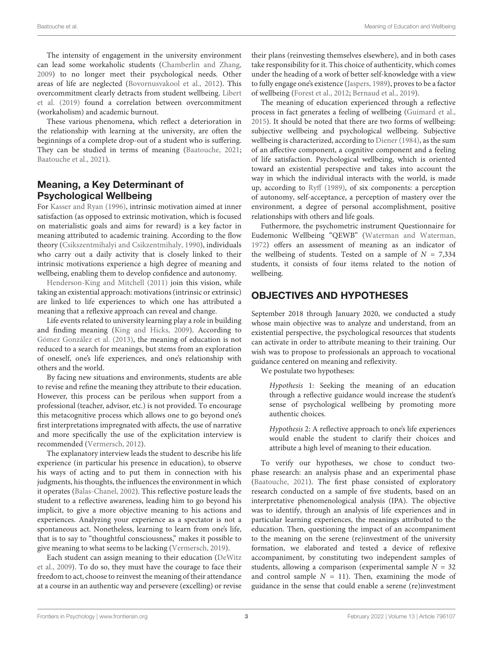The intensity of engagement in the university environment can lead some workaholic students (Chamberlin and Zhang, 2009) to no longer meet their psychological needs. Other areas of life are neglected (Bovornusvakool et al., 2012). This overcommitment clearly detracts from student wellbeing. Libert et al. (2019) found a correlation between overcommitment (workaholism) and academic burnout.

These various phenomena, which reflect a deterioration in the relationship with learning at the university, are often the beginnings of a complete drop-out of a student who is suffering. They can be studied in terms of meaning (Baatouche, 2021; Baatouche et al., 2021).

## Meaning, a Key Determinant of Psychological Wellbeing

For Kasser and Ryan (1996), intrinsic motivation aimed at inner satisfaction (as opposed to extrinsic motivation, which is focused on materialistic goals and aims for reward) is a key factor in meaning attributed to academic training. According to the flow theory (Csikszentmihalyi and Csikzentmihaly, 1990), individuals who carry out a daily activity that is closely linked to their intrinsic motivations experience a high degree of meaning and wellbeing, enabling them to develop confidence and autonomy.

Henderson-King and Mitchell (2011) join this vision, while taking an existential approach: motivations (intrinsic or extrinsic) are linked to life experiences to which one has attributed a meaning that a reflexive approach can reveal and change.

Life events related to university learning play a role in building and finding meaning (King and Hicks, 2009). According to Gómez González et al. (2013), the meaning of education is not reduced to a search for meanings, but stems from an exploration of oneself, one's life experiences, and one's relationship with others and the world.

By facing new situations and environments, students are able to revise and refine the meaning they attribute to their education. However, this process can be perilous when support from a professional (teacher, advisor, etc.) is not provided. To encourage this metacognitive process which allows one to go beyond one's first interpretations impregnated with affects, the use of narrative and more specifically the use of the explicitation interview is recommended (Vermersch, 2012).

The explanatory interview leads the student to describe his life experience (in particular his presence in education), to observe his ways of acting and to put them in connection with his judgments, his thoughts, the influences the environment in which it operates (Balas-Chanel, 2002). This reflective posture leads the student to a reflective awareness, leading him to go beyond his implicit, to give a more objective meaning to his actions and experiences. Analyzing your experience as a spectator is not a spontaneous act. Nonetheless, learning to learn from one's life, that is to say to "thoughtful consciousness," makes it possible to give meaning to what seems to be lacking (Vermersch, 2019).

Each student can assign meaning to their education (DeWitz et al., 2009). To do so, they must have the courage to face their freedom to act, choose to reinvest the meaning of their attendance at a course in an authentic way and persevere (excelling) or revise their plans (reinvesting themselves elsewhere), and in both cases take responsibility for it. This choice of authenticity, which comes under the heading of a work of better self-knowledge with a view to fully engage one's existence (Jaspers, 1989), proves to be a factor of wellbeing (Forest et al., 2012; Bernaud et al., 2019).

The meaning of education experienced through a reflective process in fact generates a feeling of wellbeing (Guimard et al., 2015). It should be noted that there are two forms of wellbeing: subjective wellbeing and psychological wellbeing. Subjective wellbeing is characterized, according to Diener (1984), as the sum of an affective component, a cognitive component and a feeling of life satisfaction. Psychological wellbeing, which is oriented toward an existential perspective and takes into account the way in which the individual interacts with the world, is made up, according to Ryff (1989), of six components: a perception of autonomy, self-acceptance, a perception of mastery over the environment, a degree of personal accomplishment, positive relationships with others and life goals.

Futhermore, the psychometric instrument Questionnaire for Eudemonic Wellbeing "QEWB" (Waterman and Waterman, 1972) offers an assessment of meaning as an indicator of the wellbeing of students. Tested on a sample of  $N = 7,334$ students, it consists of four items related to the notion of wellbeing.

## OBJECTIVES AND HYPOTHESES

September 2018 through January 2020, we conducted a study whose main objective was to analyze and understand, from an existential perspective, the psychological resources that students can activate in order to attribute meaning to their training. Our wish was to propose to professionals an approach to vocational guidance centered on meaning and reflexivity.

We postulate two hypotheses:

Hypothesis 1: Seeking the meaning of an education through a reflective guidance would increase the student's sense of psychological wellbeing by promoting more authentic choices.

Hypothesis 2: A reflective approach to one's life experiences would enable the student to clarify their choices and attribute a high level of meaning to their education.

To verify our hypotheses, we chose to conduct twophase research: an analysis phase and an experimental phase (Baatouche, 2021). The first phase consisted of exploratory research conducted on a sample of five students, based on an interpretative phenomenological analysis (IPA). The objective was to identify, through an analysis of life experiences and in particular learning experiences, the meanings attributed to the education. Then, questioning the impact of an accompaniment to the meaning on the serene (re)investment of the university formation, we elaborated and tested a device of reflexive accompaniment, by constituting two independent samples of students, allowing a comparison (experimental sample  $N = 32$ and control sample  $N = 11$ ). Then, examining the mode of guidance in the sense that could enable a serene (re)investment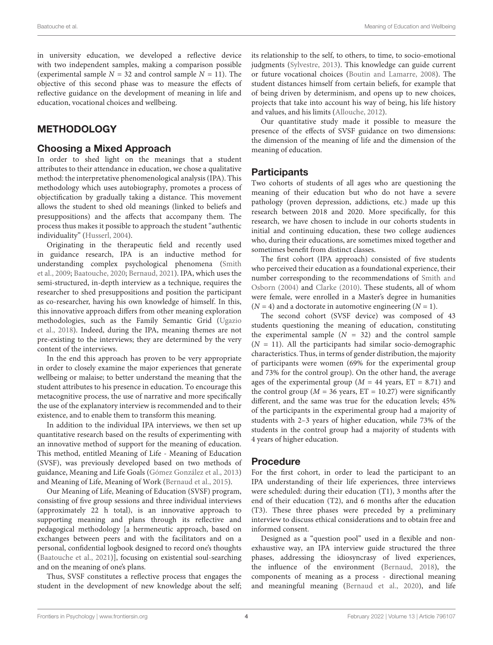in university education, we developed a reflective device with two independent samples, making a comparison possible (experimental sample  $N = 32$  and control sample  $N = 11$ ). The objective of this second phase was to measure the effects of reflective guidance on the development of meaning in life and education, vocational choices and wellbeing.

#### **METHODOLOGY**

#### Choosing a Mixed Approach

In order to shed light on the meanings that a student attributes to their attendance in education, we chose a qualitative method: the interpretative phenomenological analysis (IPA). This methodology which uses autobiography, promotes a process of objectification by gradually taking a distance. This movement allows the student to shed old meanings (linked to beliefs and presuppositions) and the affects that accompany them. The process thus makes it possible to approach the student "authentic individuality" (Husserl, 2004).

Originating in the therapeutic field and recently used in guidance research, IPA is an inductive method for understanding complex psychological phenomena (Smith et al., 2009; Baatouche, 2020; Bernaud, 2021). IPA, which uses the semi-structured, in-depth interview as a technique, requires the researcher to shed presuppositions and position the participant as co-researcher, having his own knowledge of himself. In this, this innovative approach differs from other meaning exploration methodologies, such as the Family Semantic Grid (Ugazio et al., 2018). Indeed, during the IPA, meaning themes are not pre-existing to the interviews; they are determined by the very content of the interviews.

In the end this approach has proven to be very appropriate in order to closely examine the major experiences that generate wellbeing or malaise; to better understand the meaning that the student attributes to his presence in education. To encourage this metacognitive process, the use of narrative and more specifically the use of the explanatory interview is recommended and to their existence, and to enable them to transform this meaning.

In addition to the individual IPA interviews, we then set up quantitative research based on the results of experimenting with an innovative method of support for the meaning of education. This method, entitled Meaning of Life - Meaning of Education (SVSF), was previously developed based on two methods of guidance, Meaning and Life Goals (Gómez González et al., 2013) and Meaning of Life, Meaning of Work (Bernaud et al., 2015).

Our Meaning of Life, Meaning of Education (SVSF) program, consisting of five group sessions and three individual interviews (approximately 22 h total), is an innovative approach to supporting meaning and plans through its reflective and pedagogical methodology [a hermeneutic approach, based on exchanges between peers and with the facilitators and on a personal, confidential logbook designed to record one's thoughts (Baatouche et al., 2021)], focusing on existential soul-searching and on the meaning of one's plans.

Thus, SVSF constitutes a reflective process that engages the student in the development of new knowledge about the self; its relationship to the self, to others, to time, to socio-emotional judgments (Sylvestre, 2013). This knowledge can guide current or future vocational choices (Boutin and Lamarre, 2008). The student distances himself from certain beliefs, for example that of being driven by determinism, and opens up to new choices, projects that take into account his way of being, his life history and values, and his limits (Allouche, 2012).

Our quantitative study made it possible to measure the presence of the effects of SVSF guidance on two dimensions: the dimension of the meaning of life and the dimension of the meaning of education.

#### **Participants**

Two cohorts of students of all ages who are questioning the meaning of their education but who do not have a severe pathology (proven depression, addictions, etc.) made up this research between 2018 and 2020. More specifically, for this research, we have chosen to include in our cohorts students in initial and continuing education, these two college audiences who, during their educations, are sometimes mixed together and sometimes benefit from distinct classes.

The first cohort (IPA approach) consisted of five students who perceived their education as a foundational experience, their number corresponding to the recommendations of Smith and Osborn (2004) and Clarke (2010). These students, all of whom were female, were enrolled in a Master's degree in humanities  $(N = 4)$  and a doctorate in automotive engineering  $(N = 1)$ .

The second cohort (SVSF device) was composed of 43 students questioning the meaning of education, constituting the experimental sample  $(N = 32)$  and the control sample  $(N = 11)$ . All the participants had similar socio-demographic characteristics. Thus, in terms of gender distribution, the majority of participants were women (69% for the experimental group and 73% for the control group). On the other hand, the average ages of the experimental group ( $M = 44$  years,  $ET = 8.71$ ) and the control group ( $M = 36$  years, ET = 10.27) were significantly different, and the same was true for the education levels; 45% of the participants in the experimental group had a majority of students with 2–3 years of higher education, while 73% of the students in the control group had a majority of students with 4 years of higher education.

#### Procedure

For the first cohort, in order to lead the participant to an IPA understanding of their life experiences, three interviews were scheduled: during their education (T1), 3 months after the end of their education (T2), and 6 months after the education (T3). These three phases were preceded by a preliminary interview to discuss ethical considerations and to obtain free and informed consent.

Designed as a "question pool" used in a flexible and nonexhaustive way, an IPA interview guide structured the three phases, addressing the idiosyncrasy of lived experiences, the influence of the environment (Bernaud, 2018), the components of meaning as a process - directional meaning and meaningful meaning (Bernaud et al., 2020), and life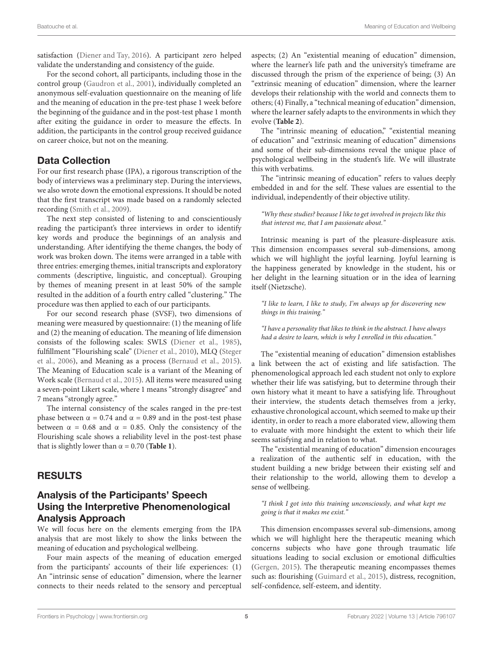satisfaction (Diener and Tay, 2016). A participant zero helped validate the understanding and consistency of the guide.

For the second cohort, all participants, including those in the control group (Gaudron et al., 2001), individually completed an anonymous self-evaluation questionnaire on the meaning of life and the meaning of education in the pre-test phase 1 week before the beginning of the guidance and in the post-test phase 1 month after exiting the guidance in order to measure the effects. In addition, the participants in the control group received guidance on career choice, but not on the meaning.

#### Data Collection

For our first research phase (IPA), a rigorous transcription of the body of interviews was a preliminary step. During the interviews, we also wrote down the emotional expressions. It should be noted that the first transcript was made based on a randomly selected recording (Smith et al., 2009).

The next step consisted of listening to and conscientiously reading the participant's three interviews in order to identify key words and produce the beginnings of an analysis and understanding. After identifying the theme changes, the body of work was broken down. The items were arranged in a table with three entries: emerging themes, initial transcripts and exploratory comments (descriptive, linguistic, and conceptual). Grouping by themes of meaning present in at least 50% of the sample resulted in the addition of a fourth entry called "clustering." The procedure was then applied to each of our participants.

For our second research phase (SVSF), two dimensions of meaning were measured by questionnaire: (1) the meaning of life and (2) the meaning of education. The meaning of life dimension consists of the following scales: SWLS (Diener et al., 1985), fulfillment "Flourishing scale" (Diener et al., 2010), MLQ (Steger et al., 2006), and Meaning as a process (Bernaud et al., 2015). The Meaning of Education scale is a variant of the Meaning of Work scale (Bernaud et al., 2015). All items were measured using a seven-point Likert scale, where 1 means "strongly disagree" and 7 means "strongly agree."

The internal consistency of the scales ranged in the pre-test phase between  $α = 0.74$  and  $α = 0.89$  and in the post-test phase between  $\alpha = 0.68$  and  $\alpha = 0.85$ . Only the consistency of the Flourishing scale shows a reliability level in the post-test phase that is slightly lower than  $\alpha = 0.70$  (**Table 1**).

#### RESULTS

#### Analysis of the Participants' Speech Using the Interpretive Phenomenological Analysis Approach

We will focus here on the elements emerging from the IPA analysis that are most likely to show the links between the meaning of education and psychological wellbeing.

Four main aspects of the meaning of education emerged from the participants' accounts of their life experiences: (1) An "intrinsic sense of education" dimension, where the learner connects to their needs related to the sensory and perceptual

aspects; (2) An "existential meaning of education" dimension, where the learner's life path and the university's timeframe are discussed through the prism of the experience of being; (3) An "extrinsic meaning of education" dimension, where the learner develops their relationship with the world and connects them to others; (4) Finally, a "technical meaning of education" dimension, where the learner safely adapts to the environments in which they evolve (**Table 2**).

The "intrinsic meaning of education," "existential meaning of education" and "extrinsic meaning of education" dimensions and some of their sub-dimensions reveal the unique place of psychological wellbeing in the student's life. We will illustrate this with verbatims.

The "intrinsic meaning of education" refers to values deeply embedded in and for the self. These values are essential to the individual, independently of their objective utility.

"Why these studies? because I like to get involved in projects like this that interest me, that I am passionate about."

Intrinsic meaning is part of the pleasure-displeasure axis. This dimension encompasses several sub-dimensions, among which we will highlight the joyful learning. Joyful learning is the happiness generated by knowledge in the student, his or her delight in the learning situation or in the idea of learning itself (Nietzsche).

"I like to learn, I like to study, I'm always up for discovering new things in this training."

"I have a personality that likes to think in the abstract. I have always had a desire to learn, which is why I enrolled in this education."

The "existential meaning of education" dimension establishes a link between the act of existing and life satisfaction. The phenomenological approach led each student not only to explore whether their life was satisfying, but to determine through their own history what it meant to have a satisfying life. Throughout their interview, the students detach themselves from a jerky, exhaustive chronological account, which seemed to make up their identity, in order to reach a more elaborated view, allowing them to evaluate with more hindsight the extent to which their life seems satisfying and in relation to what.

The "existential meaning of education" dimension encourages a realization of the authentic self in education, with the student building a new bridge between their existing self and their relationship to the world, allowing them to develop a sense of wellbeing.

"I think I got into this training unconsciously, and what kept me going is that it makes me exist."

This dimension encompasses several sub-dimensions, among which we will highlight here the therapeutic meaning which concerns subjects who have gone through traumatic life situations leading to social exclusion or emotional difficulties (Gergen, 2015). The therapeutic meaning encompasses themes such as: flourishing (Guimard et al., 2015), distress, recognition, self-confidence, self-esteem, and identity.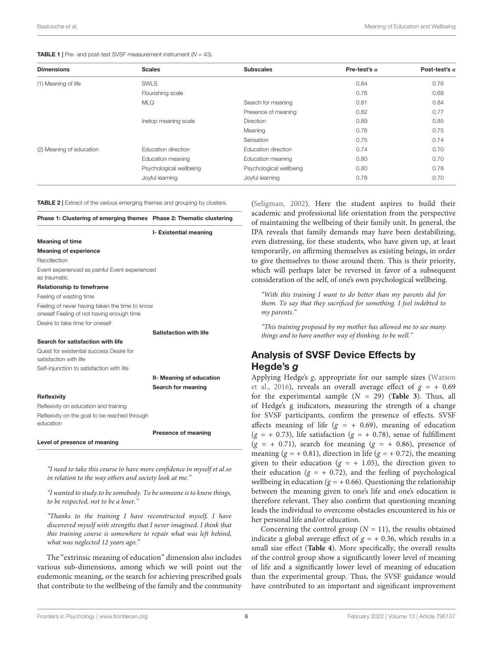#### Baatouche et al. Meaning of Education and Wellbeing

#### **TABLE 1** | Pre- and post-test SVSF measurement instrument  $(N = 43)$ .

| <b>Dimensions</b>        | <b>Scales</b>           | <b>Subscales</b>        | Pre-test's $\alpha$ | Post-test's $\alpha$ |
|--------------------------|-------------------------|-------------------------|---------------------|----------------------|
| (1) Meaning of life      | <b>SWLS</b>             |                         | 0.84                | 0.76                 |
|                          | Flourishing scale       |                         | 0.76                | 0.68                 |
|                          | <b>MLQ</b>              | Search for meaning      | 0.81                | 0.84                 |
|                          |                         | Presence of meaning     | 0.82                | 0.77                 |
|                          | Inetop meaning scale    | <b>Direction</b>        | 0.89                | 0.85                 |
|                          |                         | Meaning                 | 0.76                | 0.75                 |
|                          |                         | Sensation               | 0.75                | 0.74                 |
| (2) Meaning of education | Education direction     | Education direction     | 0.74                | 0.70                 |
|                          | Education meaning       | Education meaning       | 0.80                | 0.70                 |
|                          | Psychological wellbeing | Psychological wellbeing | 0.80                | 0.78                 |
|                          | Joyful learning         | Joyful learning         | 0.78                | 0.70                 |

#### TABLE 2 | Extract of the various emerging themes and grouping by clusters.

|                                                                                             | I- Existential meaning   |
|---------------------------------------------------------------------------------------------|--------------------------|
| <b>Meaning of time</b>                                                                      |                          |
| <b>Meaning of experience</b>                                                                |                          |
| Recollection                                                                                |                          |
| Event experienced as painful Event experienced<br>as traumatic                              |                          |
| <b>Relationship to timeframe</b>                                                            |                          |
| Feeling of wasting time                                                                     |                          |
| Feeling of never having taken the time to know<br>oneself Feeling of not having enough time |                          |
| Desire to take time for oneself                                                             |                          |
|                                                                                             | Satisfaction with life   |
| Search for satisfaction with life                                                           |                          |
| Quest for existential success Desire for<br>satisfaction with life                          |                          |
| Self-injunction to satisfaction with life                                                   |                          |
|                                                                                             | II- Meaning of education |
|                                                                                             | Search for meaning       |
| Reflexivity                                                                                 |                          |
| Reflexivity on education and training                                                       |                          |
| Reflexivity on the goal to be reached through<br>education                                  |                          |
|                                                                                             | Presence of meaning      |
| Level of presence of meaning                                                                |                          |

"I need to take this course to have more confidence in myself et al.so in relation to the way others and society look at me."

"I wanted to study.to be somebody. To be someone is to know things, to be respected, not to be a loser.'

"Thanks to the training I have reconstructed myself, I have discovered myself with strengths that I never imagined. I think that this training course is somewhere to repair what was left behind, what was neglected 12 years ago."

The "extrinsic meaning of education" dimension also includes various sub-dimensions, among which we will point out the eudemonic meaning, or the search for achieving prescribed goals that contribute to the wellbeing of the family and the community

(Seligman, 2002). Here the student aspires to build their academic and professional life orientation from the perspective of maintaining the wellbeing of their family unit. In general, the IPA reveals that family demands may have been destabilizing, even distressing, for these students, who have given up, at least temporarily, on affirming themselves as existing beings, in order to give themselves to those around them. This is their priority, which will perhaps later be reversed in favor of a subsequent consideration of the self, of one's own psychological wellbeing.

"With this training I want to do better than my parents did for them. To say that they sacrificed for something. I feel indebted to my parents."

"This training proposed by my mother has allowed me to see many things and to have another way of thinking, to be well."

## Analysis of SVSF Device Effects by Hegde's g

Applying Hedge's g, appropriate for our sample sizes (Watson et al., 2016), reveals an overall average effect of  $g = +0.69$ for the experimental sample  $(N = 29)$  (**Table 3**). Thus, all of Hedge's g indicators, measuring the strength of a change for SVSF participants, confirm the presence of effects. SVSF affects meaning of life ( $g = +0.69$ ), meaning of education  $(g = +0.73)$ , life satisfaction  $(g = +0.78)$ , sense of fulfillment  $(g = +0.71)$ , search for meaning  $(g = +0.86)$ , presence of meaning ( $g = +0.81$ ), direction in life ( $g = +0.72$ ), the meaning given to their education ( $g = +1.05$ ), the direction given to their education ( $g = +0.72$ ), and the feeling of psychological wellbeing in education ( $g = +0.66$ ). Questioning the relationship between the meaning given to one's life and one's education is therefore relevant. They also confirm that questioning meaning leads the individual to overcome obstacles encountered in his or her personal life and/or education.

Concerning the control group  $(N = 11)$ , the results obtained indicate a global average effect of  $g = +0.36$ , which results in a small size effect (**Table 4**). More specifically, the overall results of the control group show a significantly lower level of meaning of life and a significantly lower level of meaning of education than the experimental group. Thus, the SVSF guidance would have contributed to an important and significant improvement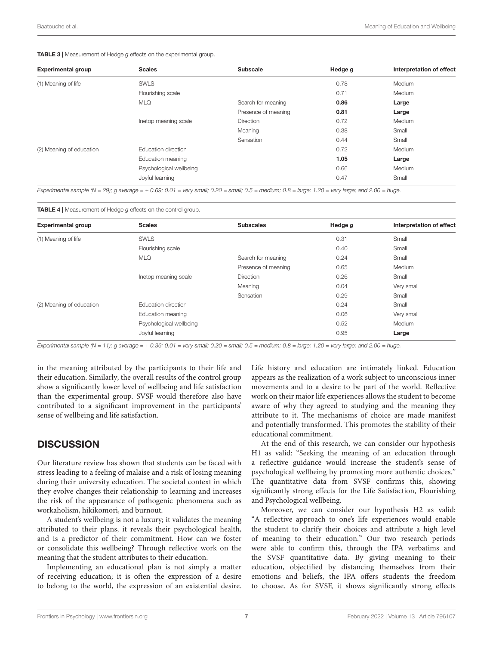#### TABLE 3 | Measurement of Hedge g effects on the experimental group.

| <b>Experimental group</b> | <b>Scales</b>           | <b>Subscale</b>     | Hedge g | Interpretation of effect |
|---------------------------|-------------------------|---------------------|---------|--------------------------|
| (1) Meaning of life       | <b>SWLS</b>             |                     | 0.78    | Medium                   |
|                           | Flourishing scale       |                     | 0.71    | Medium                   |
|                           | <b>MLQ</b>              | Search for meaning  | 0.86    | Large                    |
|                           |                         | Presence of meaning | 0.81    | Large                    |
|                           | Inetop meaning scale    | <b>Direction</b>    | 0.72    | Medium                   |
|                           |                         | Meaning             | 0.38    | Small                    |
|                           |                         | Sensation           | 0.44    | Small                    |
| (2) Meaning of education  | Education direction     |                     | 0.72    | Medium                   |
|                           | Education meaning       |                     | 1.05    | Large                    |
|                           | Psychological wellbeing |                     | 0.66    | Medium                   |
|                           | Joyful learning         |                     | 0.47    | Small                    |

Experimental sample (N = 29); g average = + 0.69; 0.01 = very small; 0.20 = small; 0.5 = medium; 0.8 = large; 1.20 = very large; and 2.00 = huge.

#### TABLE 4 | Measurement of Hedge g effects on the control group.

| <b>Experimental group</b> | <b>Scales</b>           | <b>Subscales</b>    | Hedge g | Interpretation of effect |
|---------------------------|-------------------------|---------------------|---------|--------------------------|
| (1) Meaning of life       | <b>SWLS</b>             |                     | 0.31    | Small                    |
|                           | Flourishing scale       |                     | 0.40    | Small                    |
|                           | <b>MLQ</b>              | Search for meaning  | 0.24    | Small                    |
|                           |                         | Presence of meaning | 0.65    | Medium                   |
|                           | Inetop meaning scale    | <b>Direction</b>    | 0.26    | Small                    |
|                           |                         | Meaning             | 0.04    | Very small               |
|                           |                         | Sensation           | 0.29    | Small                    |
| (2) Meaning of education  | Education direction     |                     | 0.24    | Small                    |
|                           | Education meaning       |                     | 0.06    | Very small               |
|                           | Psychological wellbeing |                     | 0.52    | Medium                   |
|                           | Joyful learning         |                     | 0.95    | Large                    |

Experimental sample (N = 11); g average = + 0.36; 0.01 = very small; 0.20 = small; 0.5 = medium; 0.8 = large; 1.20 = very large; and 2.00 = huge.

in the meaning attributed by the participants to their life and their education. Similarly, the overall results of the control group show a significantly lower level of wellbeing and life satisfaction than the experimental group. SVSF would therefore also have contributed to a significant improvement in the participants' sense of wellbeing and life satisfaction.

#### **DISCUSSION**

Our literature review has shown that students can be faced with stress leading to a feeling of malaise and a risk of losing meaning during their university education. The societal context in which they evolve changes their relationship to learning and increases the risk of the appearance of pathogenic phenomena such as workaholism, hikikomori, and burnout.

A student's wellbeing is not a luxury; it validates the meaning attributed to their plans, it reveals their psychological health, and is a predictor of their commitment. How can we foster or consolidate this wellbeing? Through reflective work on the meaning that the student attributes to their education.

Implementing an educational plan is not simply a matter of receiving education; it is often the expression of a desire to belong to the world, the expression of an existential desire.

Life history and education are intimately linked. Education appears as the realization of a work subject to unconscious inner movements and to a desire to be part of the world. Reflective work on their major life experiences allows the student to become aware of why they agreed to studying and the meaning they attribute to it. The mechanisms of choice are made manifest and potentially transformed. This promotes the stability of their educational commitment.

At the end of this research, we can consider our hypothesis H1 as valid: "Seeking the meaning of an education through a reflective guidance would increase the student's sense of psychological wellbeing by promoting more authentic choices." The quantitative data from SVSF confirms this, showing significantly strong effects for the Life Satisfaction, Flourishing and Psychological wellbeing.

Moreover, we can consider our hypothesis H2 as valid: "A reflective approach to one's life experiences would enable the student to clarify their choices and attribute a high level of meaning to their education." Our two research periods were able to confirm this, through the IPA verbatims and the SVSF quantitative data. By giving meaning to their education, objectified by distancing themselves from their emotions and beliefs, the IPA offers students the freedom to choose. As for SVSF, it shows significantly strong effects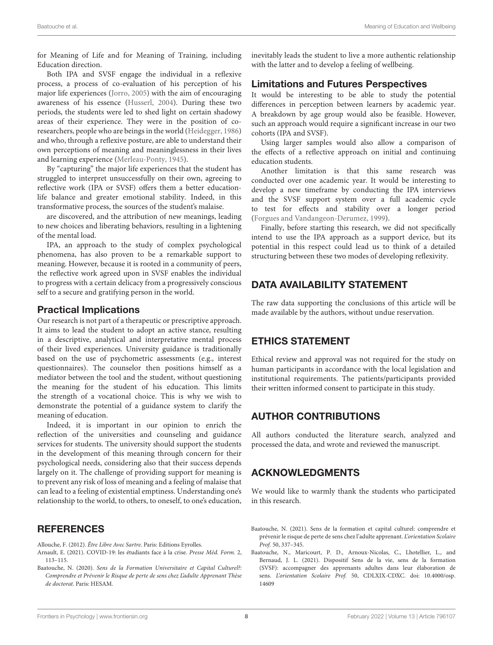for Meaning of Life and for Meaning of Training, including Education direction.

Both IPA and SVSF engage the individual in a reflexive process, a process of co-evaluation of his perception of his major life experiences (Jorro, 2005) with the aim of encouraging awareness of his essence (Husserl, 2004). During these two periods, the students were led to shed light on certain shadowy areas of their experience. They were in the position of coresearchers, people who are beings in the world (Heidegger, 1986) and who, through a reflexive posture, are able to understand their own perceptions of meaning and meaninglessness in their lives and learning experience (Merleau-Ponty, 1945).

By "capturing" the major life experiences that the student has struggled to interpret unsuccessfully on their own, agreeing to reflective work (IPA or SVSF) offers them a better educationlife balance and greater emotional stability. Indeed, in this transformative process, the sources of the student's malaise.

are discovered, and the attribution of new meanings, leading to new choices and liberating behaviors, resulting in a lightening of the mental load.

IPA, an approach to the study of complex psychological phenomena, has also proven to be a remarkable support to meaning. However, because it is rooted in a community of peers, the reflective work agreed upon in SVSF enables the individual to progress with a certain delicacy from a progressively conscious self to a secure and gratifying person in the world.

#### Practical Implications

Our research is not part of a therapeutic or prescriptive approach. It aims to lead the student to adopt an active stance, resulting in a descriptive, analytical and interpretative mental process of their lived experiences. University guidance is traditionally based on the use of psychometric assessments (e.g., interest questionnaires). The counselor then positions himself as a mediator between the tool and the student, without questioning the meaning for the student of his education. This limits the strength of a vocational choice. This is why we wish to demonstrate the potential of a guidance system to clarify the meaning of education.

Indeed, it is important in our opinion to enrich the reflection of the universities and counseling and guidance services for students. The university should support the students in the development of this meaning through concern for their psychological needs, considering also that their success depends largely on it. The challenge of providing support for meaning is to prevent any risk of loss of meaning and a feeling of malaise that can lead to a feeling of existential emptiness. Understanding one's relationship to the world, to others, to oneself, to one's education,

#### **REFERENCES**

Allouche, F. (2012). Être Libre Avec Sartre. Paris: Editions Eyrolles.

- Arnault, E. (2021). COVID-19: les étudiants face à la crise. Presse Méd. Form. 2, 113–115.
- Baatouche, N. (2020). Sens de la Formation Universitaire et Capital Culturel?: Comprendre et Prévenir le Risque de perte de sens chez L'adulte Apprenant Thèse de doctorat. Paris: HESAM.

inevitably leads the student to live a more authentic relationship with the latter and to develop a feeling of wellbeing.

#### Limitations and Futures Perspectives

It would be interesting to be able to study the potential differences in perception between learners by academic year. A breakdown by age group would also be feasible. However, such an approach would require a significant increase in our two cohorts (IPA and SVSF).

Using larger samples would also allow a comparison of the effects of a reflective approach on initial and continuing education students.

Another limitation is that this same research was conducted over one academic year. It would be interesting to develop a new timeframe by conducting the IPA interviews and the SVSF support system over a full academic cycle to test for effects and stability over a longer period (Forgues and Vandangeon-Derumez, 1999).

Finally, before starting this research, we did not specifically intend to use the IPA approach as a support device, but its potential in this respect could lead us to think of a detailed structuring between these two modes of developing reflexivity.

#### DATA AVAILABILITY STATEMENT

The raw data supporting the conclusions of this article will be made available by the authors, without undue reservation.

## ETHICS STATEMENT

Ethical review and approval was not required for the study on human participants in accordance with the local legislation and institutional requirements. The patients/participants provided their written informed consent to participate in this study.

## AUTHOR CONTRIBUTIONS

All authors conducted the literature search, analyzed and processed the data, and wrote and reviewed the manuscript.

#### ACKNOWLEDGMENTS

We would like to warmly thank the students who participated in this research.

- Baatouche, N. (2021). Sens de la formation et capital culturel: comprendre et prévenir le risque de perte de sens chez l'adulte apprenant. L'orientation Scolaire Prof. 50, 337–345.
- Baatouche, N., Maricourt, P. D., Arnoux-Nicolas, C., Lhotellier, L., and Bernaud, J. L. (2021). Dispositif Sens de la vie, sens de la formation (SVSF): accompagner des apprenants adultes dans leur élaboration de sens. L'orientation Scolaire Prof. 50, CDLXIX-CDXC. [doi: 10.4000/osp.](https://doi.org/10.4000/osp.14609) [14609](https://doi.org/10.4000/osp.14609)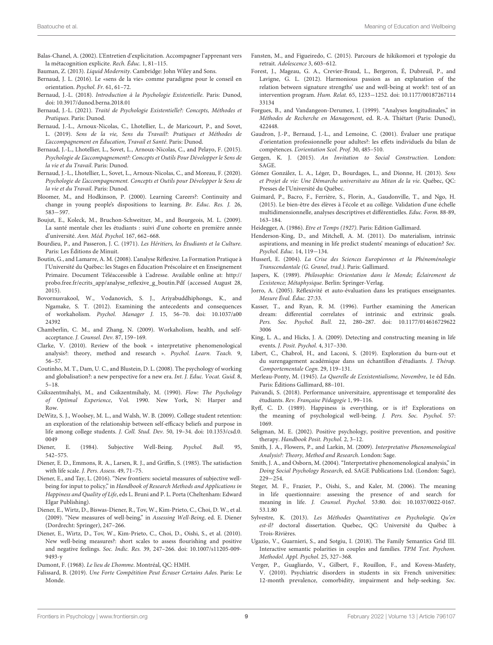- Balas-Chanel, A. (2002). L'Entretien d'explicitation. Accompagner l'apprenant vers la métacognition explicite. Rech. Éduc. 1, 81–115.
- Bauman, Z. (2013). Liquid Modernity. Cambridge: John Wiley and Sons.
- Bernaud, J. L. (2016). Le «sens de la vie» comme paradigme pour le conseil en orientation. Psychol. Fr. 61, 61–72.
- Bernaud, J.-L. (2018). Introduction à la Psychologie Existentielle. Paris: Dunod, [doi: 10.3917/dunod.berna.2018.01](https://doi.org/10.3917/dunod.berna.2018.01)
- Bernaud, J.-L. (2021). Traité de Psychologie Existentielle?: Concepts, Méthodes et Pratiques. Paris: Dunod.
- Bernaud, J.-L., Arnoux-Nicolas, C., Lhotellier, L., de Maricourt, P., and Sovet, L. (2019). Sens de la vie, Sens du Travail?: Pratiques et Méthodes de L'accompagnement en Éducation, Travail et Santé. Paris: Dunod.
- Bernaud, J.-L., Lhotellier, L., Sovet, L., Arnoux-Nicolas, C., and Pelayo, F. (2015). Psychologie de L'accompagnement?: Concepts et Outils Pour Développer le Sens de la vie et du Travail. Paris: Dunod.
- Bernaud, J.-L., Lhotellier, L., Sovet, L., Arnoux-Nicolas, C., and Moreau, F. (2020). Psychologie de L'accompagnement. Concepts et Outils pour Développer le Sens de la vie et du Travail. Paris: Dunod.
- Bloomer, M., and Hodkinson, P. (2000). Learning Careers?: Continuity and change in young people's dispositions to learning. Br. Educ. Res. J. 26, 583−597.
- Boujut, E., Koleck, M., Bruchon-Schweitzer, M., and Bourgeois, M. L. (2009). La santé mentale chez les étudiants : suivi d'une cohorte en première année d'université. Ann. Méd. Psychol. 167, 662–668.
- Bourdieu, P., and Passeron, J. C. (1971). Les Héritiers, les Étudiants et la Culture. Paris: Les Éditions de Minuit.
- Boutin, G., and Lamarre, A. M. (2008). L'analyse Réflexive. La Formation Pratique à l'Université du Québec: les Stages en Éducation Préscolaire et en Enseignement Primaire. Document Téléaccessible à L'adresse. Available online at: [http://](http://probo.free.fr/ecrits_app/analyse_reflexive_g_boutin.Pdf) [probo.free.fr/ecrits\\_app/analyse\\_reflexive\\_g\\_boutin.Pdf](http://probo.free.fr/ecrits_app/analyse_reflexive_g_boutin.Pdf) (accessed August 28, 2015).
- Bovornusvakool, W., Vodanovich, S. J., Ariyabuddhiphongs, K., and Ngamake, S. T. (2012). Examining the antecedents and consequences of workaholism. Psychol. Manager J. 15, 56–70. [doi: 10.1037/a00](https://doi.org/10.1037/a0024392) [24392](https://doi.org/10.1037/a0024392)
- Chamberlin, C. M., and Zhang, N. (2009). Workaholism, health, and selfacceptance. J. Counsel. Dev. 87, 159–169.
- Clarke, V. (2010). Review of the book « interpretative phenomenological analysis?: theory, method and research ». Psychol. Learn. Teach. 9, 56–57.
- Coutinho, M. T., Dam, U. C., and Blustein, D. L. (2008). The psychology of working and globalisation?: a new perspective for a new era. Int. J. Educ. Vocat. Guid. 8, 5–18.
- Csikszentmihalyi, M., and Csikzentmihaly, M. (1990). Flow: The Psychology of Optimal Experience, Vol. 1990. New York, N: Harper and Row.
- DeWitz, S. J., Woolsey, M. L., and Walsh, W. B. (2009). College student retention: an exploration of the relationship between self-efficacy beliefs and purpose in life among college students. J. Coll. Stud. Dev. 50, 19–34. [doi: 10.1353/csd.0.](https://doi.org/10.1353/csd.0.0049) [0049](https://doi.org/10.1353/csd.0.0049)
- Diener, E. (1984). Subjective Well-Being. Psychol. Bull. 95, 542–575.
- Diener, E. D., Emmons, R. A., Larsen, R. J., and Griffin, S. (1985). The satisfaction with life scale. J. Pers. Assess. 49, 71–75.
- Diener, E., and Tay, L. (2016). "New frontiers: societal measures of subjective wellbeing for input to policy," in Handbook of Research Methods and Applications in Happiness and Quality of Life, eds L. Bruni and P. L. Porta (Cheltenham: Edward Elgar Publishing).
- Diener, E., Wirtz, D., Biswas-Diener, R., Tov, W., Kim-Prieto, C., Choi, D. W., et al. (2009). "New measures of well-being," in Assessing Well-Being, ed. E. Diener (Dordrecht: Springer), 247–266.
- Diener, E., Wirtz, D., Tov, W., Kim-Prieto, C., Choi, D., Oishi, S., et al. (2010). New well-being measures?: short scales to assess flourishing and positive and negative feelings. Soc. Indic. Res. 39, 247–266. [doi: 10.1007/s11205-009-](https://doi.org/10.1007/s11205-009-9493-y) [9493-y](https://doi.org/10.1007/s11205-009-9493-y)
- Dumont, F. (1968). Le lieu de L'homme. Montréal, QC: HMH.
- Falissard, B. (2019). Une Forte Compétition Peut Écraser Certains Ados. Paris: Le Monde.
- Fansten, M., and Figueiredo, C. (2015). Parcours de hikikomori et typologie du retrait. Adolescence 3, 603–612.
- Forest, J., Mageau, G. A., Crevier-Braud, L., Bergeron, É, Dubreuil, P., and Lavigne, G. L. (2012). Harmonious passion as an explanation of the relation between signature strengths' use and well-being at work?: test of an intervention program. Hum. Relat. 65, 1233−1252. [doi: 10.1177/00187267114](https://doi.org/10.1177/0018726711433134) [33134](https://doi.org/10.1177/0018726711433134)
- Forgues, B., and Vandangeon-Derumez, I. (1999). "Analyses longitudinales," in Méthodes de Recherche en Management, ed. R.-A. Thiétart (Paris: Dunod), 422448.
- Gaudron, J.-P., Bernaud, J.-L., and Lemoine, C. (2001). Évaluer une pratique d'orientation professionnelle pour adultes?: les effets individuels du bilan de compétences. L'orientation Scol. Prof. 30, 485–510.
- Gergen, K. J. (2015). An Invitation to Social Construction. London: SAGE.
- Gómez González, L. A., Léger, D., Bourdages, L., and Dionne, H. (2013). Sens et Projet de vie: Une Démarche universitaire au Mitan de la vie. Québec, QC: Presses de l'Université du Québec.
- Guimard, P., Bacro, F., Ferrière, S., Florin, A., Gaudonville, T., and Ngo, H. (2015). Le bien-être des élèves à l'école et au collège. Validation d'une échelle multidimensionnelle, analyses descriptives et différentielles. Educ. Form. 88-89, 163–184.
- Heidegger, A. (1986). Etre et Temps (1927). Paris: Edition Gallimard.
- Henderson-King, D., and Mitchell, A. M. (2011). Do materialism, intrinsic aspirations, and meaning in life predict students' meanings of education? Soc. Psychol. Educ. 14, 119−134.
- Husserl, E. (2004). La Crise des Sciences Européennes et la Phénoménologie Transcendantale (G. Granel, trad.). Paris: Gallimard.
- Jaspers, K. (1989). Philosophie: Orientation dans le Monde; Éclairement de L'existence; Métaphysique. Berlin: Springer-Verlag.
- Jorro, A. (2005). Réflexivité et auto-évaluation dans les pratiques enseignantes. Mesure Éval. Éduc. 27:33.
- Kasser, T., and Ryan, R. M. (1996). Further examining the American dream: differential correlates of intrinsic and extrinsic goals. Pers. Soc. Psychol. Bull. 22, 280–287. [doi: 10.1177/014616729622](https://doi.org/10.1177/0146167296223006) [3006](https://doi.org/10.1177/0146167296223006)
- King, L. A., and Hicks, J. A. (2009). Detecting and constructing meaning in life events. J. Posit. Psychol. 4, 317–330.
- Libert, C., Chabrol, H., and Laconi, S. (2019). Exploration du burn-out et du surengagement académique dans un échantillon d'étudiants. J. Thérap. Comportementale Cogn. 29, 119–131.
- Merleau-Ponty, M. (1945). La Querelle de L'existentialisme, Novembre, 1e éd Edn. Paris: Éditions Gallimard, 88–101.
- Paivandi, S. (2018). Performance universitaire, apprentissage et temporalité des étudiants. Rev. Française Pédagogie 1, 99–116.
- Ryff, C. D. (1989). Happiness is everything, or is it? Explorations on the meaning of psychological well-being. J. Pers. Soc. Psychol. 57: 1069.
- Seligman, M. E. (2002). Positive psychology, positive prevention, and positive therapy. Handbook Posit. Psychol. 2, 3–12.
- Smith, J. A., Flowers, P., and Larkin, M. (2009). Interpretative Phenomenological Analysis?: Theory, Method and Research. London: Sage.
- Smith, J. A., and Osborn, M. (2004). "Interpretative phenomenological analysis," in Doing Social Psychology Research, ed. SAGE Publications Ltd. (London: Sage), 229−254.
- Steger, M. F., Frazier, P., Oishi, S., and Kaler, M. (2006). The meaning in life questionnaire: assessing the presence of and search for meaning in life. J. Counsel. Psychol. 53:80. [doi: 10.1037/0022-0167.](https://doi.org/10.1037/0022-0167.53.1.80) [53.1.80](https://doi.org/10.1037/0022-0167.53.1.80)
- Sylvestre, K. (2013). Les Méthodes Quantitatives en Psychologie. Qu'en est-il? doctoral dissertation. Quebec, QC: Université du Québec à Trois-Rivières.
- Ugazio, V., Guarnieri, S., and Sotgiu, I. (2018). The Family Semantics Grid III. Interactive semantic polarities in couples and families. TPM Test. Psychom. Methodol. Appl. Psychol. 25, 327–368.
- Verger, P., Guagliardo, V., Gilbert, F., Rouillon, F., and Kovess-Masfety, V. (2010). Psychiatric disorders in students in six French universities: 12-month prevalence, comorbidity, impairment and help-seeking. Soc.